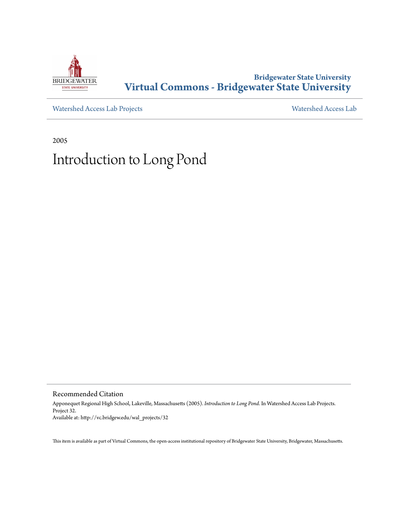

#### **Bridgewater State University [Virtual Commons - Bridgewater State University](http://vc.bridgew.edu)**

[Watershed Access Lab Projects](http://vc.bridgew.edu/wal_projects) [Watershed Access Lab](http://vc.bridgew.edu/wal)

2005

#### Introduction to Long Pond

Recommended Citation

Apponequet Regional High School, Lakeville, Massachusetts (2005). *Introduction to Long Pond*. In Watershed Access Lab Projects. Project 32. Available at: http://vc.bridgew.edu/wal\_projects/32

This item is available as part of Virtual Commons, the open-access institutional repository of Bridgewater State University, Bridgewater, Massachusetts.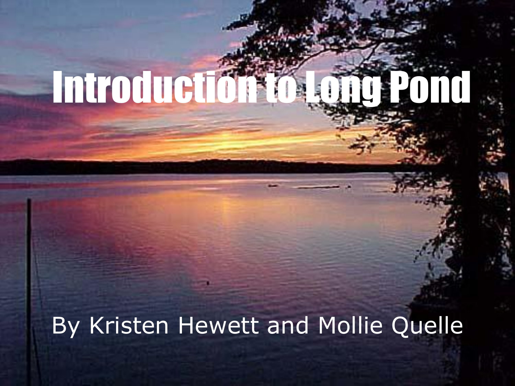# Introduction to Long Pond

#### By Kristen Hewett and Mollie Quelle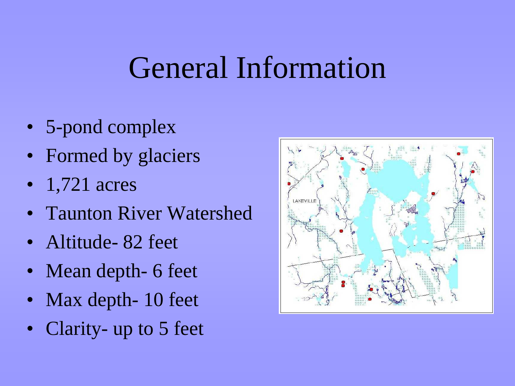#### General Information

- 5-pond complex
- Formed by glaciers
- 1,721 acres
- **Taunton River Watershed**
- Altitude-82 feet
- Mean depth- 6 feet
- Max depth- 10 feet
- Clarity- up to 5 feet

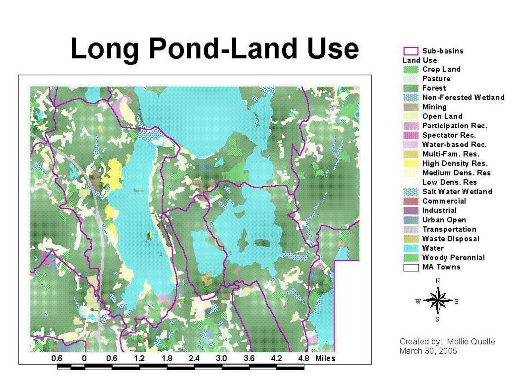# **Long Pond-Land Use**





Created by: Mollie Quelle March 30, 2005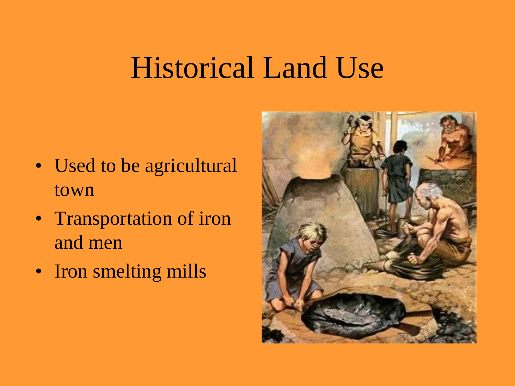### Historical Land Use

- Used to be agricultural town
- Transportation of iron and men
- Iron smelting mills

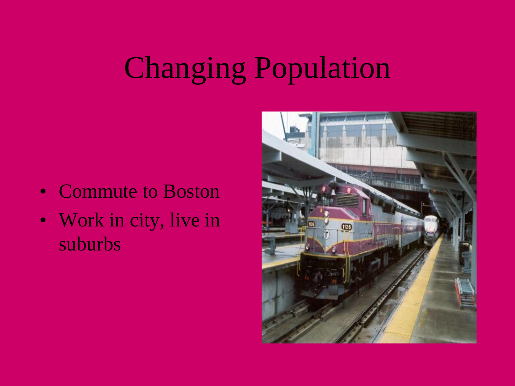# Changing Population

- Commute to Boston
- Work in city, live in suburbs

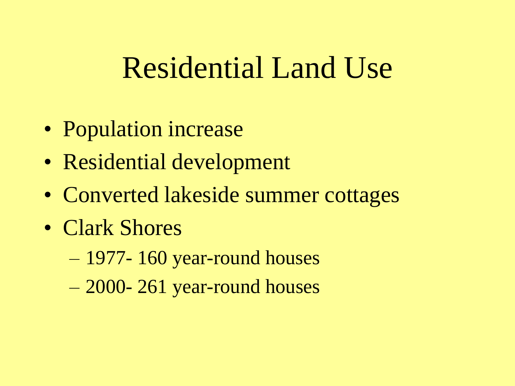### Residential Land Use

- Population increase
- Residential development
- Converted lakeside summer cottages
- Clark Shores
	- 1977- 160 year-round houses
	- 2000- 261 year-round houses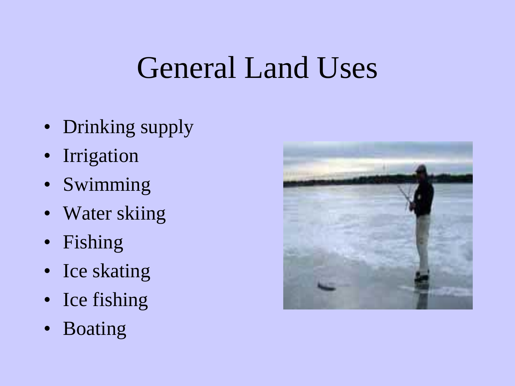#### General Land Uses

- Drinking supply
- Irrigation
- Swimming
- Water skiing
- Fishing
- Ice skating
- Ice fishing
- Boating

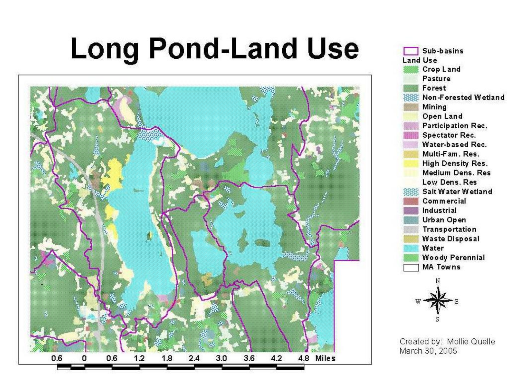# **Long Pond-Land Use**





Created by: Mollie Quelle March 30, 2005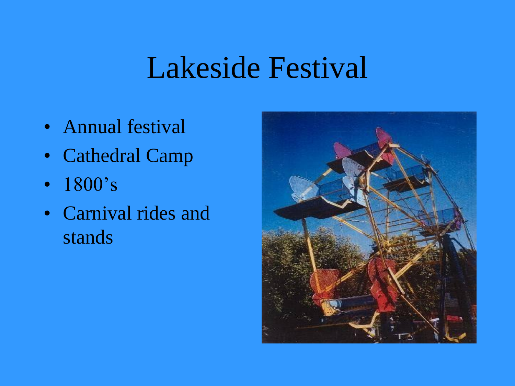### Lakeside Festival

- Annual festival
- Cathedral Camp
- 1800's
- Carnival rides and stands

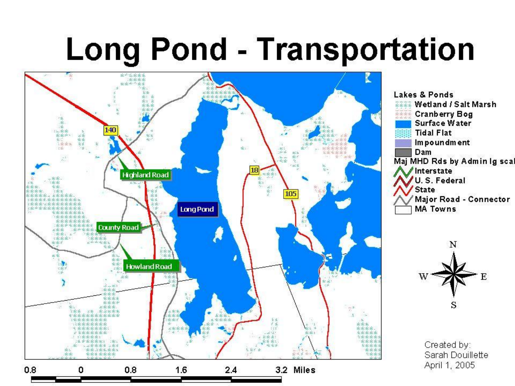# **Long Pond - Transportation**



Lakes & Ponds *EEEE* Wetland / Salt Marsh **Example Cranberry Bog** Surface Water **Tidal Flat** Im poundment Dam Maj MHD Rds by Admin Ig scal Interstate U.S. Federal **State** / Major Road - Connector **MA Towns** 



Created by: Sarah Douillette April 1, 2005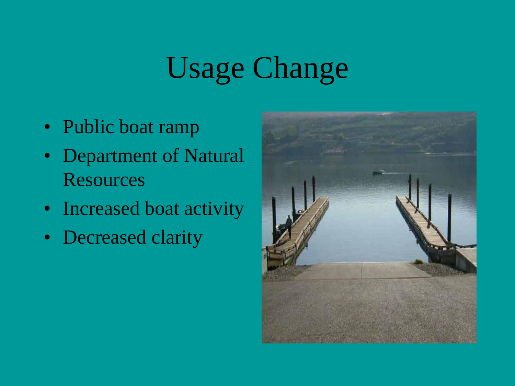# Usage Change

- Public boat ramp
- Department of Natural **Resources**
- Increased boat activity
- Decreased clarity